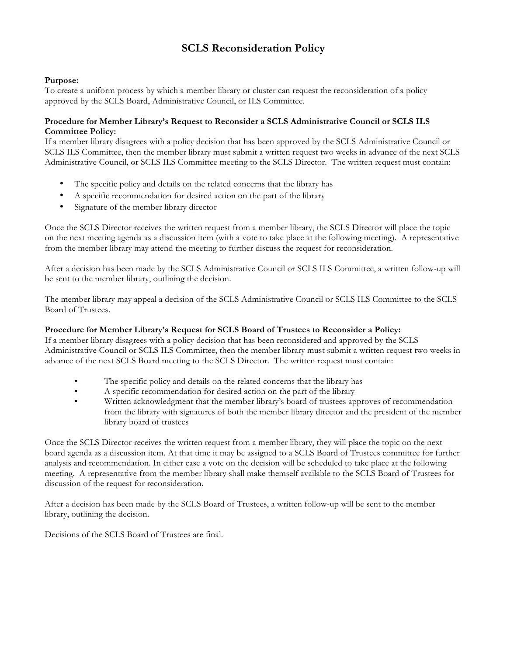# **SCLS Reconsideration Policy**

# **Purpose:**

To create a uniform process by which a member library or cluster can request the reconsideration of a policy approved by the SCLS Board, Administrative Council, or ILS Committee.

# **Procedure for Member Library's Request to Reconsider a SCLS Administrative Council or SCLS ILS Committee Policy:**

If a member library disagrees with a policy decision that has been approved by the SCLS Administrative Council or SCLS ILS Committee, then the member library must submit a written request two weeks in advance of the next SCLS Administrative Council, or SCLS ILS Committee meeting to the SCLS Director. The written request must contain:

- The specific policy and details on the related concerns that the library has
- A specific recommendation for desired action on the part of the library
- Signature of the member library director

Once the SCLS Director receives the written request from a member library, the SCLS Director will place the topic on the next meeting agenda as a discussion item (with a vote to take place at the following meeting). A representative from the member library may attend the meeting to further discuss the request for reconsideration.

After a decision has been made by the SCLS Administrative Council or SCLS ILS Committee, a written follow-up will be sent to the member library, outlining the decision.

The member library may appeal a decision of the SCLS Administrative Council or SCLS ILS Committee to the SCLS Board of Trustees.

### **Procedure for Member Library's Request for SCLS Board of Trustees to Reconsider a Policy:**

If a member library disagrees with a policy decision that has been reconsidered and approved by the SCLS Administrative Council or SCLS ILS Committee, then the member library must submit a written request two weeks in advance of the next SCLS Board meeting to the SCLS Director. The written request must contain:

- The specific policy and details on the related concerns that the library has
- A specific recommendation for desired action on the part of the library
- Written acknowledgment that the member library's board of trustees approves of recommendation from the library with signatures of both the member library director and the president of the member library board of trustees

Once the SCLS Director receives the written request from a member library, they will place the topic on the next board agenda as a discussion item. At that time it may be assigned to a SCLS Board of Trustees committee for further analysis and recommendation. In either case a vote on the decision will be scheduled to take place at the following meeting. A representative from the member library shall make themself available to the SCLS Board of Trustees for discussion of the request for reconsideration.

After a decision has been made by the SCLS Board of Trustees, a written follow-up will be sent to the member library, outlining the decision.

Decisions of the SCLS Board of Trustees are final.